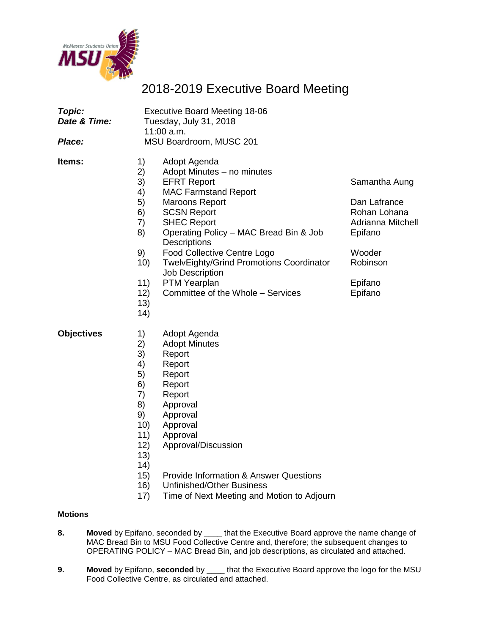

# 2018-2019 Executive Board Meeting

| Topic:<br>Date & Time:<br>Place: |                                                                                                            | <b>Executive Board Meeting 18-06</b><br>Tuesday, July 31, 2018<br>11:00 a.m.<br>MSU Boardroom, MUSC 201                                                                                                                                                                                                                                                                                                |                                                                                                                           |
|----------------------------------|------------------------------------------------------------------------------------------------------------|--------------------------------------------------------------------------------------------------------------------------------------------------------------------------------------------------------------------------------------------------------------------------------------------------------------------------------------------------------------------------------------------------------|---------------------------------------------------------------------------------------------------------------------------|
| ltems:                           | 1)<br>2)<br>3)<br>4)<br>5)<br>6)<br>7)<br>8)<br>9)<br>10)<br>11)<br>12)<br>13)<br>14)                      | Adopt Agenda<br>Adopt Minutes - no minutes<br><b>EFRT Report</b><br><b>MAC Farmstand Report</b><br><b>Maroons Report</b><br><b>SCSN Report</b><br><b>SHEC Report</b><br>Operating Policy – MAC Bread Bin & Job<br><b>Descriptions</b><br><b>Food Collective Centre Logo</b><br>TwelvEighty/Grind Promotions Coordinator<br><b>Job Description</b><br>PTM Yearplan<br>Committee of the Whole - Services | Samantha Aung<br>Dan Lafrance<br>Rohan Lohana<br>Adrianna Mitchell<br>Epifano<br>Wooder<br>Robinson<br>Epifano<br>Epifano |
| <b>Objectives</b>                | 1)<br>2)<br>3)<br>4)<br>5)<br>6)<br>7)<br>8)<br>9)<br>10)<br>11)<br>12)<br>13)<br>14)<br>15)<br>16)<br>17) | Adopt Agenda<br><b>Adopt Minutes</b><br>Report<br>Report<br>Report<br>Report<br>Report<br>Approval<br>Approval<br>Approval<br>Approval<br>Approval/Discussion<br><b>Provide Information &amp; Answer Questions</b><br><b>Unfinished/Other Business</b><br>Time of Next Meeting and Motion to Adjourn                                                                                                   |                                                                                                                           |

#### **Motions**

- **8. Moved** by Epifano, seconded by \_\_\_\_ that the Executive Board approve the name change of MAC Bread Bin to MSU Food Collective Centre and, therefore; the subsequent changes to OPERATING POLICY – MAC Bread Bin, and job descriptions, as circulated and attached.
- **9. Moved** by Epifano, **seconded** by \_\_\_\_ that the Executive Board approve the logo for the MSU Food Collective Centre, as circulated and attached.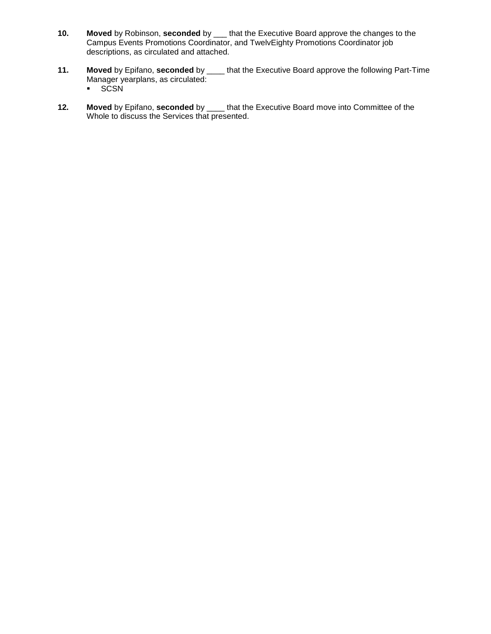- **10. Moved** by Robinson, **seconded** by \_\_\_ that the Executive Board approve the changes to the Campus Events Promotions Coordinator, and TwelvEighty Promotions Coordinator job descriptions, as circulated and attached.
- **11. Moved** by Epifano, **seconded** by \_\_\_\_ that the Executive Board approve the following Part-Time Manager yearplans, as circulated: · SCSN
- **12. Moved** by Epifano, **seconded** by \_\_\_\_ that the Executive Board move into Committee of the Whole to discuss the Services that presented.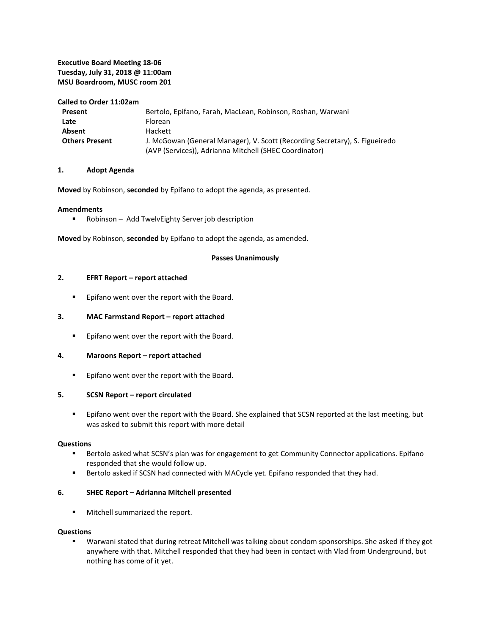#### **Executive Board Meeting 18-06 Tuesday, July 31, 2018 @ 11:00am MSU Boardroom, MUSC room 201**

#### **Called to Order 11:02am**

| Present               | Bertolo, Epifano, Farah, MacLean, Robinson, Roshan, Warwani                 |
|-----------------------|-----------------------------------------------------------------------------|
| Late                  | <b>Florean</b>                                                              |
| Absent                | Hackett                                                                     |
| <b>Others Present</b> | J. McGowan (General Manager), V. Scott (Recording Secretary), S. Figueiredo |
|                       | (AVP (Services)), Adrianna Mitchell (SHEC Coordinator)                      |

#### **1. Adopt Agenda**

**Moved** by Robinson, **seconded** by Epifano to adopt the agenda, as presented.

#### **Amendments**

**-** Robinson – Add TwelvEighty Server job description

**Moved** by Robinson, **seconded** by Epifano to adopt the agenda, as amended.

#### **Passes Unanimously**

#### **2. EFRT Report – report attached**

**Epifano went over the report with the Board.** 

#### **3. MAC Farmstand Report – report attached**

**EXECT** Epifano went over the report with the Board.

#### **4. Maroons Report – report attached**

**Epifano went over the report with the Board.** 

#### **5. SCSN Report – report circulated**

 Epifano went over the report with the Board. She explained that SCSN reported at the last meeting, but was asked to submit this report with more detail

#### **Questions**

- **Bertolo asked what SCSN's plan was for engagement to get Community Connector applications. Epifano** responded that she would follow up.
- Bertolo asked if SCSN had connected with MACycle yet. Epifano responded that they had.

#### **6. SHEC Report – Adrianna Mitchell presented**

**Mitchell summarized the report.** 

#### **Questions**

 Warwani stated that during retreat Mitchell was talking about condom sponsorships. She asked if they got anywhere with that. Mitchell responded that they had been in contact with Vlad from Underground, but nothing has come of it yet.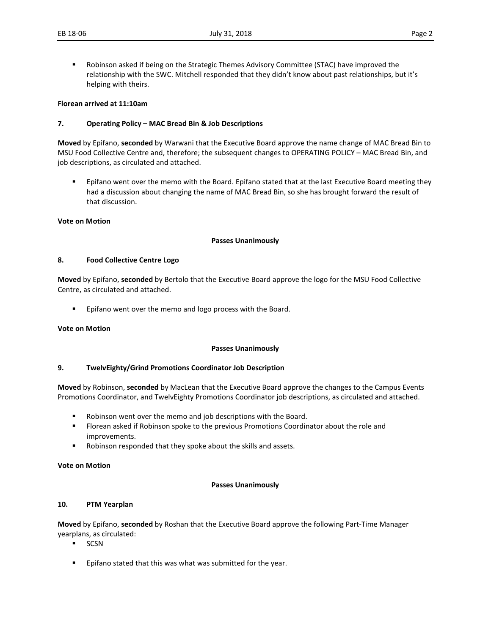- 
- Robinson asked if being on the Strategic Themes Advisory Committee (STAC) have improved the relationship with the SWC. Mitchell responded that they didn't know about past relationships, but it's helping with theirs.

#### **Florean arrived at 11:10am**

#### **7. Operating Policy – MAC Bread Bin & Job Descriptions**

**Moved** by Epifano, **seconded** by Warwani that the Executive Board approve the name change of MAC Bread Bin to MSU Food Collective Centre and, therefore; the subsequent changes to OPERATING POLICY – MAC Bread Bin, and job descriptions, as circulated and attached.

 Epifano went over the memo with the Board. Epifano stated that at the last Executive Board meeting they had a discussion about changing the name of MAC Bread Bin, so she has brought forward the result of that discussion.

#### **Vote on Motion**

#### **Passes Unanimously**

#### **8. Food Collective Centre Logo**

**Moved** by Epifano, **seconded** by Bertolo that the Executive Board approve the logo for the MSU Food Collective Centre, as circulated and attached.

Epifano went over the memo and logo process with the Board.

**Vote on Motion**

#### **Passes Unanimously**

#### **9. TwelvEighty/Grind Promotions Coordinator Job Description**

**Moved** by Robinson, **seconded** by MacLean that the Executive Board approve the changes to the Campus Events Promotions Coordinator, and TwelvEighty Promotions Coordinator job descriptions, as circulated and attached.

- Robinson went over the memo and job descriptions with the Board.
- Florean asked if Robinson spoke to the previous Promotions Coordinator about the role and improvements.
- Robinson responded that they spoke about the skills and assets.

**Vote on Motion**

#### **Passes Unanimously**

#### **10. PTM Yearplan**

**Moved** by Epifano, **seconded** by Roshan that the Executive Board approve the following Part-Time Manager yearplans, as circulated:

- $SCSN$
- **Epifano stated that this was what was submitted for the year.**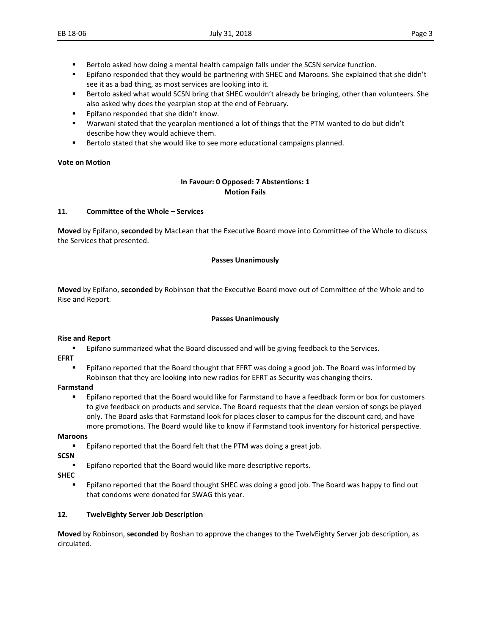- Bertolo asked how doing a mental health campaign falls under the SCSN service function.
- Epifano responded that they would be partnering with SHEC and Maroons. She explained that she didn't see it as a bad thing, as most services are looking into it.
- **Bertolo asked what would SCSN bring that SHEC wouldn't already be bringing, other than volunteers. She** also asked why does the yearplan stop at the end of February.
- Epifano responded that she didn't know.
- Warwani stated that the yearplan mentioned a lot of things that the PTM wanted to do but didn't describe how they would achieve them.
- **Bertolo stated that she would like to see more educational campaigns planned.**

#### **Vote on Motion**

#### **In Favour: 0 Opposed: 7 Abstentions: 1 Motion Fails**

#### **11. Committee of the Whole – Services**

**Moved** by Epifano, **seconded** by MacLean that the Executive Board move into Committee of the Whole to discuss the Services that presented.

#### **Passes Unanimously**

**Moved** by Epifano, **seconded** by Robinson that the Executive Board move out of Committee of the Whole and to Rise and Report.

#### **Passes Unanimously**

#### **Rise and Report**

- Epifano summarized what the Board discussed and will be giving feedback to the Services.
- **EFRT**
	- Epifano reported that the Board thought that EFRT was doing a good job. The Board was informed by Robinson that they are looking into new radios for EFRT as Security was changing theirs.

#### **Farmstand**

**Epifano reported that the Board would like for Farmstand to have a feedback form or box for customers** to give feedback on products and service. The Board requests that the clean version of songs be played only. The Board asks that Farmstand look for places closer to campus for the discount card, and have more promotions. The Board would like to know if Farmstand took inventory for historical perspective.

#### **Maroons**

**Epifano reported that the Board felt that the PTM was doing a great job.** 

**SCSN**

Epifano reported that the Board would like more descriptive reports.

**SHEC**

 Epifano reported that the Board thought SHEC was doing a good job. The Board was happy to find out that condoms were donated for SWAG this year.

#### **12. TwelvEighty Server Job Description**

**Moved** by Robinson, **seconded** by Roshan to approve the changes to the TwelvEighty Server job description, as circulated.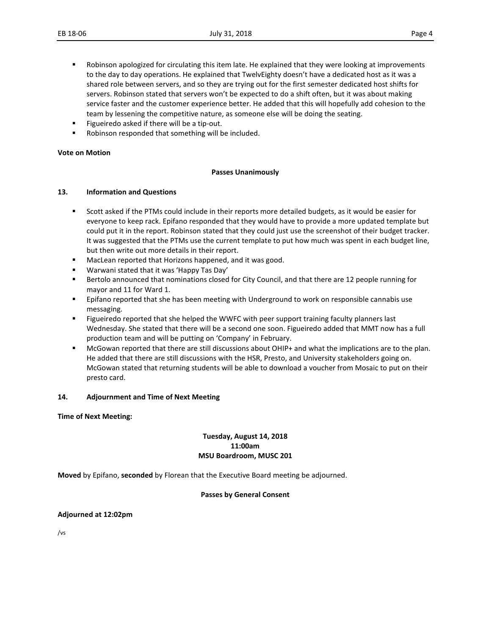- **•** Robinson apologized for circulating this item late. He explained that they were looking at improvements to the day to day operations. He explained that TwelvEighty doesn't have a dedicated host as it was a shared role between servers, and so they are trying out for the first semester dedicated host shifts for servers. Robinson stated that servers won't be expected to do a shift often, but it was about making service faster and the customer experience better. He added that this will hopefully add cohesion to the team by lessening the competitive nature, as someone else will be doing the seating.
- Figueiredo asked if there will be a tip-out.
- Robinson responded that something will be included.

#### **Vote on Motion**

#### **Passes Unanimously**

#### **13. Information and Questions**

- Scott asked if the PTMs could include in their reports more detailed budgets, as it would be easier for everyone to keep rack. Epifano responded that they would have to provide a more updated template but could put it in the report. Robinson stated that they could just use the screenshot of their budget tracker. It was suggested that the PTMs use the current template to put how much was spent in each budget line, but then write out more details in their report.
- MacLean reported that Horizons happened, and it was good.
- Warwani stated that it was 'Happy Tas Day'
- **Bertolo announced that nominations closed for City Council, and that there are 12 people running for** mayor and 11 for Ward 1.
- **Epifano reported that she has been meeting with Underground to work on responsible cannabis use** messaging.
- Figueiredo reported that she helped the WWFC with peer support training faculty planners last Wednesday. She stated that there will be a second one soon. Figueiredo added that MMT now has a full production team and will be putting on 'Company' in February.
- McGowan reported that there are still discussions about OHIP+ and what the implications are to the plan. He added that there are still discussions with the HSR, Presto, and University stakeholders going on. McGowan stated that returning students will be able to download a voucher from Mosaic to put on their presto card.

#### **14. Adjournment and Time of Next Meeting**

**Time of Next Meeting:** 

#### **Tuesday, August 14, 2018 11:00am MSU Boardroom, MUSC 201**

**Moved** by Epifano, **seconded** by Florean that the Executive Board meeting be adjourned.

#### **Passes by General Consent**

**Adjourned at 12:02pm**

/vs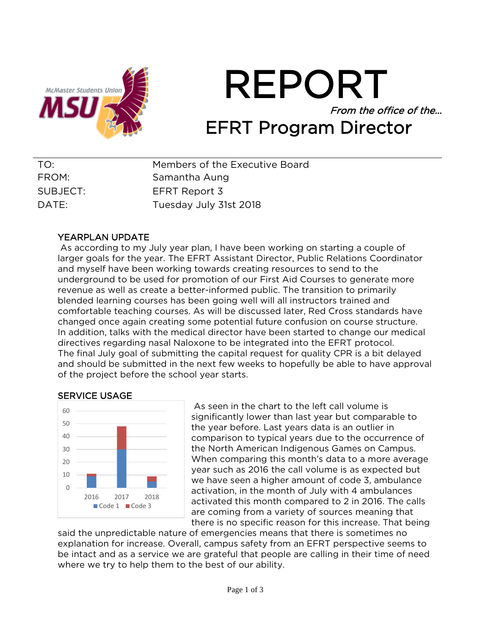

REPORT From the office of the… EFRT Program Director

| TO:      | Members of the Executive Board |
|----------|--------------------------------|
| FROM:    | Samantha Aung                  |
| SUBJECT: | EFRT Report 3                  |
| DATE:    | Tuesday July 31st 2018         |

# YEARPLAN UPDATE

As according to my July year plan, I have been working on starting a couple of larger goals for the year. The EFRT Assistant Director, Public Relations Coordinator and myself have been working towards creating resources to send to the underground to be used for promotion of our First Aid Courses to generate more revenue as well as create a better-informed public. The transition to primarily blended learning courses has been going well will all instructors trained and comfortable teaching courses. As will be discussed later, Red Cross standards have changed once again creating some potential future confusion on course structure. In addition, talks with the medical director have been started to change our medical directives regarding nasal Naloxone to be integrated into the EFRT protocol. The final July goal of submitting the capital request for quality CPR is a bit delayed and should be submitted in the next few weeks to hopefully be able to have approval of the project before the school year starts.





As seen in the chart to the left call volume is significantly lower than last year but comparable to the year before. Last years data is an outlier in comparison to typical years due to the occurrence of the North American Indigenous Games on Campus. When comparing this month's data to a more average year such as 2016 the call volume is as expected but we have seen a higher amount of code 3, ambulance activation, in the month of July with 4 ambulances activated this month compared to 2 in 2016. The calls are coming from a variety of sources meaning that there is no specific reason for this increase. That being

said the unpredictable nature of emergencies means that there is sometimes no explanation for increase. Overall, campus safety from an EFRT perspective seems to be intact and as a service we are grateful that people are calling in their time of need where we try to help them to the best of our ability.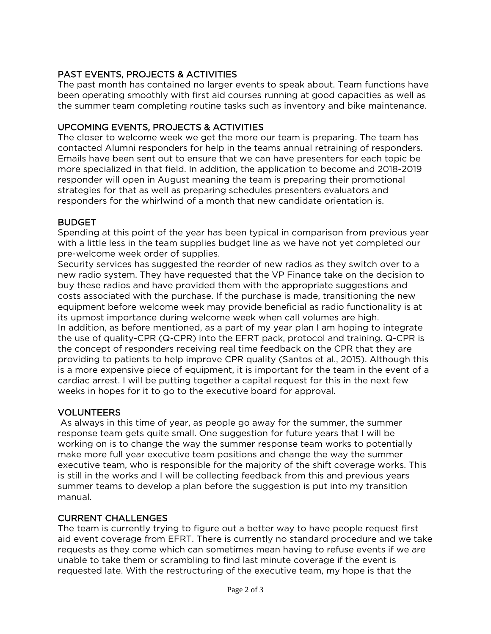# PAST EVENTS, PROJECTS & ACTIVITIES

The past month has contained no larger events to speak about. Team functions have been operating smoothly with first aid courses running at good capacities as well as the summer team completing routine tasks such as inventory and bike maintenance.

# UPCOMING EVENTS, PROJECTS & ACTIVITIES

The closer to welcome week we get the more our team is preparing. The team has contacted Alumni responders for help in the teams annual retraining of responders. Emails have been sent out to ensure that we can have presenters for each topic be more specialized in that field. In addition, the application to become and 2018-2019 responder will open in August meaning the team is preparing their promotional strategies for that as well as preparing schedules presenters evaluators and responders for the whirlwind of a month that new candidate orientation is.

# BUDGET

Spending at this point of the year has been typical in comparison from previous year with a little less in the team supplies budget line as we have not yet completed our pre-welcome week order of supplies.

Security services has suggested the reorder of new radios as they switch over to a new radio system. They have requested that the VP Finance take on the decision to buy these radios and have provided them with the appropriate suggestions and costs associated with the purchase. If the purchase is made, transitioning the new equipment before welcome week may provide beneficial as radio functionality is at its upmost importance during welcome week when call volumes are high. In addition, as before mentioned, as a part of my year plan I am hoping to integrate the use of quality-CPR (Q-CPR) into the EFRT pack, protocol and training. Q-CPR is the concept of responders receiving real time feedback on the CPR that they are providing to patients to help improve CPR quality (Santos et al., 2015). Although this is a more expensive piece of equipment, it is important for the team in the event of a cardiac arrest. I will be putting together a capital request for this in the next few weeks in hopes for it to go to the executive board for approval.

# VOLUNTEERS

As always in this time of year, as people go away for the summer, the summer response team gets quite small. One suggestion for future years that I will be working on is to change the way the summer response team works to potentially make more full year executive team positions and change the way the summer executive team, who is responsible for the majority of the shift coverage works. This is still in the works and I will be collecting feedback from this and previous years summer teams to develop a plan before the suggestion is put into my transition manual.

# CURRENT CHALLENGES

The team is currently trying to figure out a better way to have people request first aid event coverage from EFRT. There is currently no standard procedure and we take requests as they come which can sometimes mean having to refuse events if we are unable to take them or scrambling to find last minute coverage if the event is requested late. With the restructuring of the executive team, my hope is that the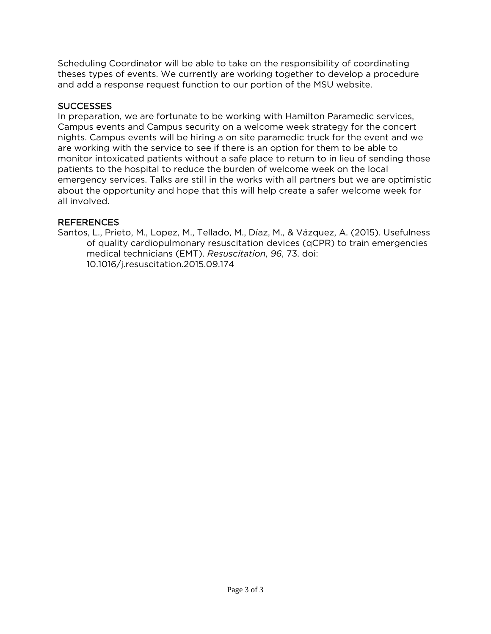Scheduling Coordinator will be able to take on the responsibility of coordinating theses types of events. We currently are working together to develop a procedure and add a response request function to our portion of the MSU website.

## SUCCESSES

In preparation, we are fortunate to be working with Hamilton Paramedic services, Campus events and Campus security on a welcome week strategy for the concert nights. Campus events will be hiring a on site paramedic truck for the event and we are working with the service to see if there is an option for them to be able to monitor intoxicated patients without a safe place to return to in lieu of sending those patients to the hospital to reduce the burden of welcome week on the local emergency services. Talks are still in the works with all partners but we are optimistic about the opportunity and hope that this will help create a safer welcome week for all involved.

#### REFERENCES

Santos, L., Prieto, M., Lopez, M., Tellado, M., Díaz, M., & Vázquez, A. (2015). Usefulness of quality cardiopulmonary resuscitation devices (qCPR) to train emergencies medical technicians (EMT). *Resuscitation*, *96*, 73. doi: 10.1016/j.resuscitation.2015.09.174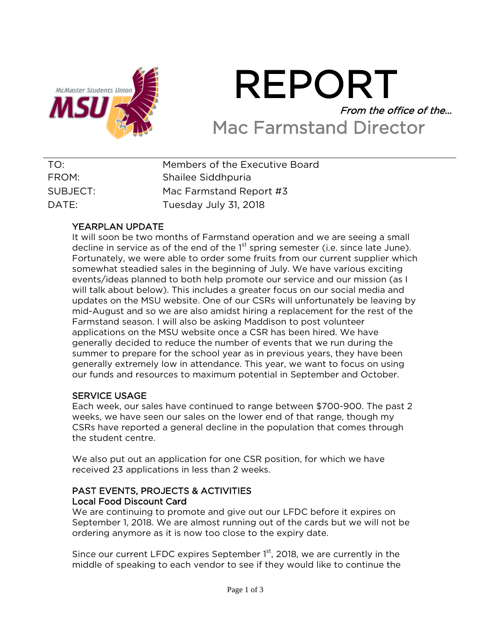

# REPORT From the office of the… Mac Farmstand Director

| TO:      | Members of the Executive Board |
|----------|--------------------------------|
| FROM:    | Shailee Siddhpuria             |
| SUBJECT: | Mac Farmstand Report #3        |
| DATE:    | Tuesday July 31, 2018          |

# YEARPLAN UPDATE

It will soon be two months of Farmstand operation and we are seeing a small decline in service as of the end of the  $1<sup>st</sup>$  spring semester (i.e. since late June). Fortunately, we were able to order some fruits from our current supplier which somewhat steadied sales in the beginning of July. We have various exciting events/ideas planned to both help promote our service and our mission (as I will talk about below). This includes a greater focus on our social media and updates on the MSU website. One of our CSRs will unfortunately be leaving by mid-August and so we are also amidst hiring a replacement for the rest of the Farmstand season. I will also be asking Maddison to post volunteer applications on the MSU website once a CSR has been hired. We have generally decided to reduce the number of events that we run during the summer to prepare for the school year as in previous years, they have been generally extremely low in attendance. This year, we want to focus on using our funds and resources to maximum potential in September and October.

# SERVICE USAGE

Each week, our sales have continued to range between \$700-900. The past 2 weeks, we have seen our sales on the lower end of that range, though my CSRs have reported a general decline in the population that comes through the student centre.

We also put out an application for one CSR position, for which we have received 23 applications in less than 2 weeks.

# PAST EVENTS, PROJECTS & ACTIVITIES Local Food Discount Card

We are continuing to promote and give out our LFDC before it expires on September 1, 2018. We are almost running out of the cards but we will not be ordering anymore as it is now too close to the expiry date.

Since our current LFDC expires September  $1<sup>st</sup>$ , 2018, we are currently in the middle of speaking to each vendor to see if they would like to continue the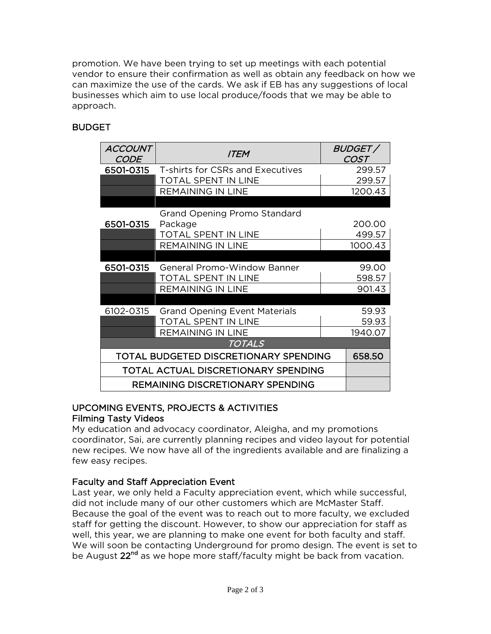promotion. We have been trying to set up meetings with each potential vendor to ensure their confirmation as well as obtain any feedback on how we can maximize the use of the cards. We ask if EB has any suggestions of local businesses which aim to use local produce/foods that we may be able to approach.

# **BUDGET**

| <b>ACCOUNT</b><br><b>CODE</b>       | <b>ITEM</b>                             |  | <i>BUDGET/</i><br><b>COST</b> |
|-------------------------------------|-----------------------------------------|--|-------------------------------|
| 6501-0315                           | T-shirts for CSRs and Executives        |  | 299.57                        |
|                                     | <b>TOTAL SPENT IN LINE</b>              |  | 299.57                        |
|                                     | <b>REMAINING IN LINE</b>                |  | 1200.43                       |
|                                     |                                         |  |                               |
|                                     | Grand Opening Promo Standard            |  |                               |
| 6501-0315                           | Package                                 |  | 200.00                        |
|                                     | TOTAL SPENT IN LINE                     |  | 499.57                        |
|                                     | <b>REMAINING IN LINE</b>                |  | 1000.43                       |
|                                     |                                         |  |                               |
| 6501-0315                           | General Promo-Window Banner             |  | 99.00                         |
|                                     | <b>TOTAL SPENT IN LINE</b>              |  | 598.57                        |
|                                     | <b>REMAINING IN LINE</b>                |  | 901.43                        |
|                                     |                                         |  |                               |
| 6102-0315                           | <b>Grand Opening Event Materials</b>    |  | 59.93                         |
|                                     | TOTAL SPENT IN LINE                     |  | 59.93                         |
|                                     | REMAINING IN LINE                       |  | 1940.07                       |
|                                     | <b>TOTALS</b>                           |  |                               |
|                                     | TOTAL BUDGETED DISCRETIONARY SPENDING   |  | 658.50                        |
| TOTAL ACTUAL DISCRETIONARY SPENDING |                                         |  |                               |
|                                     | <b>REMAINING DISCRETIONARY SPENDING</b> |  |                               |

# UPCOMING EVENTS, PROJECTS & ACTIVITIES Filming Tasty Videos

My education and advocacy coordinator, Aleigha, and my promotions coordinator, Sai, are currently planning recipes and video layout for potential new recipes. We now have all of the ingredients available and are finalizing a few easy recipes.

# Faculty and Staff Appreciation Event

Last year, we only held a Faculty appreciation event, which while successful, did not include many of our other customers which are McMaster Staff. Because the goal of the event was to reach out to more faculty, we excluded staff for getting the discount. However, to show our appreciation for staff as well, this year, we are planning to make one event for both faculty and staff. We will soon be contacting Underground for promo design. The event is set to be August 22<sup>nd</sup> as we hope more staff/faculty might be back from vacation.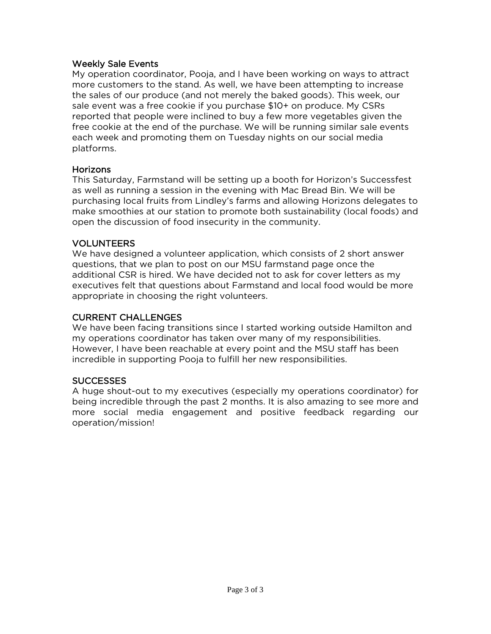#### Weekly Sale Events

My operation coordinator, Pooja, and I have been working on ways to attract more customers to the stand. As well, we have been attempting to increase the sales of our produce (and not merely the baked goods). This week, our sale event was a free cookie if you purchase \$10+ on produce. My CSRs reported that people were inclined to buy a few more vegetables given the free cookie at the end of the purchase. We will be running similar sale events each week and promoting them on Tuesday nights on our social media platforms.

#### Horizons

This Saturday, Farmstand will be setting up a booth for Horizon's Successfest as well as running a session in the evening with Mac Bread Bin. We will be purchasing local fruits from Lindley's farms and allowing Horizons delegates to make smoothies at our station to promote both sustainability (local foods) and open the discussion of food insecurity in the community.

#### VOLUNTEERS

We have designed a volunteer application, which consists of 2 short answer questions, that we plan to post on our MSU farmstand page once the additional CSR is hired. We have decided not to ask for cover letters as my executives felt that questions about Farmstand and local food would be more appropriate in choosing the right volunteers.

#### CURRENT CHALLENGES

We have been facing transitions since I started working outside Hamilton and my operations coordinator has taken over many of my responsibilities. However, I have been reachable at every point and the MSU staff has been incredible in supporting Pooja to fulfill her new responsibilities.

#### **SUCCESSES**

A huge shout-out to my executives (especially my operations coordinator) for being incredible through the past 2 months. It is also amazing to see more and more social media engagement and positive feedback regarding our operation/mission!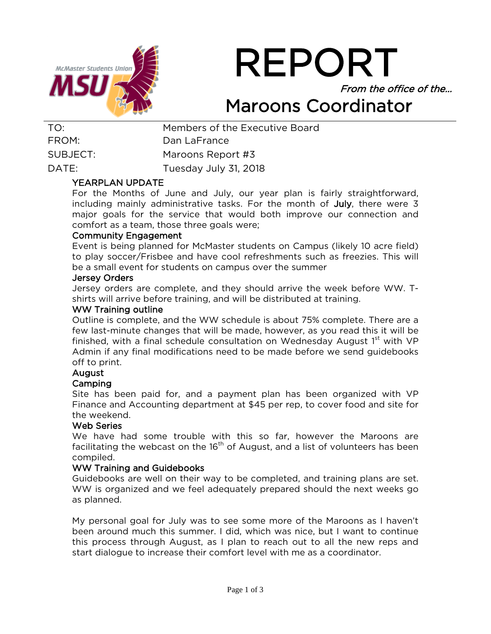

REPORT From the office of the…

# Maroons Coordinator

| Members of the Executive Board |
|--------------------------------|
| Dan LaFrance                   |
| Maroons Report #3              |
| Tuesday July 31, 2018          |
|                                |

#### YEARPLAN UPDATE

For the Months of June and July, our year plan is fairly straightforward, including mainly administrative tasks. For the month of July, there were 3 major goals for the service that would both improve our connection and comfort as a team, those three goals were;

#### Community Engagement

Event is being planned for McMaster students on Campus (likely 10 acre field) to play soccer/Frisbee and have cool refreshments such as freezies. This will be a small event for students on campus over the summer

#### Jersey Orders

Jersey orders are complete, and they should arrive the week before WW. Tshirts will arrive before training, and will be distributed at training.

#### WW Training outline

Outline is complete, and the WW schedule is about 75% complete. There are a few last-minute changes that will be made, however, as you read this it will be finished, with a final schedule consultation on Wednesday August  $1<sup>st</sup>$  with VP Admin if any final modifications need to be made before we send guidebooks off to print.

# August

#### Camping

Site has been paid for, and a payment plan has been organized with VP Finance and Accounting department at \$45 per rep, to cover food and site for the weekend.

#### Web Series

We have had some trouble with this so far, however the Maroons are facilitating the webcast on the  $16<sup>th</sup>$  of August, and a list of volunteers has been compiled.

#### WW Training and Guidebooks

Guidebooks are well on their way to be completed, and training plans are set. WW is organized and we feel adequately prepared should the next weeks go as planned.

My personal goal for July was to see some more of the Maroons as I haven't been around much this summer. I did, which was nice, but I want to continue this process through August, as I plan to reach out to all the new reps and start dialogue to increase their comfort level with me as a coordinator.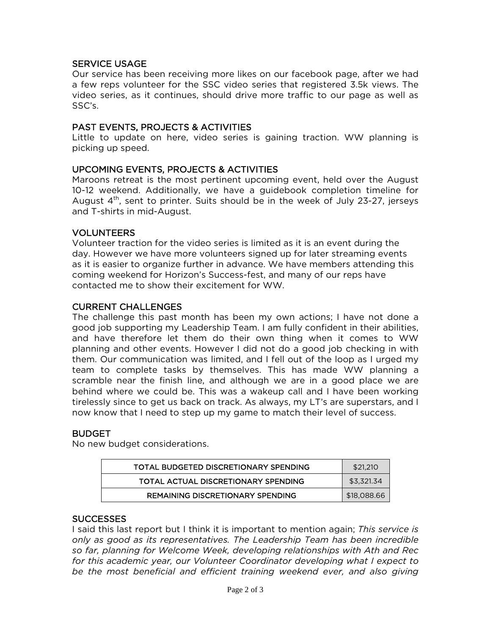# SERVICE USAGE

Our service has been receiving more likes on our facebook page, after we had a few reps volunteer for the SSC video series that registered 3.5k views. The video series, as it continues, should drive more traffic to our page as well as SSC's.

#### PAST EVENTS, PROJECTS & ACTIVITIES

Little to update on here, video series is gaining traction. WW planning is picking up speed.

#### UPCOMING EVENTS, PROJECTS & ACTIVITIES

Maroons retreat is the most pertinent upcoming event, held over the August 10-12 weekend. Additionally, we have a guidebook completion timeline for August  $4<sup>th</sup>$ , sent to printer. Suits should be in the week of July 23-27, jerseys and T-shirts in mid-August.

#### VOLUNTEERS

Volunteer traction for the video series is limited as it is an event during the day. However we have more volunteers signed up for later streaming events as it is easier to organize further in advance. We have members attending this coming weekend for Horizon's Success-fest, and many of our reps have contacted me to show their excitement for WW.

#### CURRENT CHALLENGES

The challenge this past month has been my own actions; I have not done a good job supporting my Leadership Team. I am fully confident in their abilities, and have therefore let them do their own thing when it comes to WW planning and other events. However I did not do a good job checking in with them. Our communication was limited, and I fell out of the loop as I urged my team to complete tasks by themselves. This has made WW planning a scramble near the finish line, and although we are in a good place we are behind where we could be. This was a wakeup call and I have been working tirelessly since to get us back on track. As always, my LT's are superstars, and I now know that I need to step up my game to match their level of success.

# **BUDGET**

No new budget considerations.

| TOTAL BUDGETED DISCRETIONARY SPENDING | \$21,210    |
|---------------------------------------|-------------|
| TOTAL ACTUAL DISCRETIONARY SPENDING   | \$3.321.34  |
| REMAINING DISCRETIONARY SPENDING      | \$18,088.66 |

#### **SUCCESSES**

I said this last report but I think it is important to mention again; *This service is only as good as its representatives. The Leadership Team has been incredible so far, planning for Welcome Week, developing relationships with Ath and Rec for this academic year, our Volunteer Coordinator developing what I expect to*  be the most beneficial and efficient training weekend ever, and also giving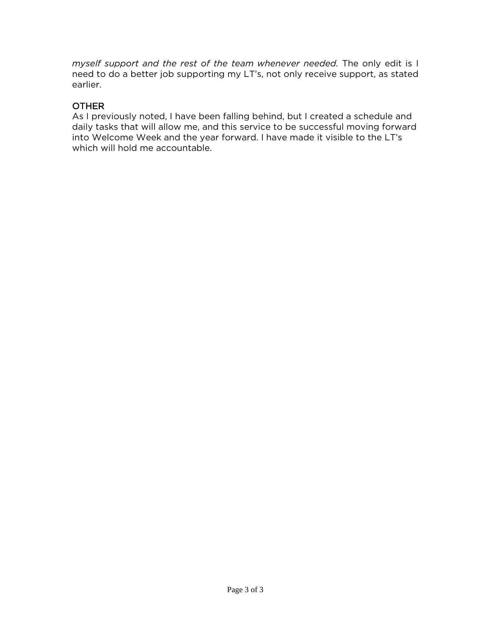*myself support and the rest of the team whenever needed.* The only edit is I need to do a better job supporting my LT's, not only receive support, as stated earlier.

# **OTHER**

As I previously noted, I have been falling behind, but I created a schedule and daily tasks that will allow me, and this service to be successful moving forward into Welcome Week and the year forward. I have made it visible to the LT's which will hold me accountable.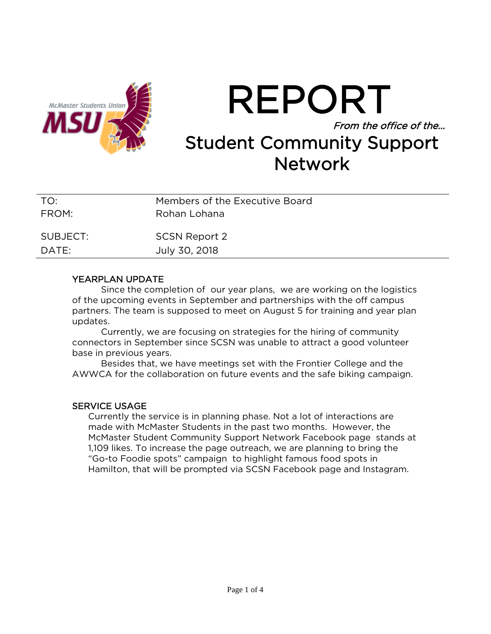

# REPORT From the office of the… Student Community Support **Network**

| TO:      | Members of the Executive Board |
|----------|--------------------------------|
| FROM:    | Rohan Lohana                   |
| SUBJECT: | <b>SCSN Report 2</b>           |
| DATE:    | July 30, 2018                  |

#### YEARPLAN UPDATE

Since the completion of our year plans, we are working on the logistics of the upcoming events in September and partnerships with the off campus partners. The team is supposed to meet on August 5 for training and year plan updates.

Currently, we are focusing on strategies for the hiring of community connectors in September since SCSN was unable to attract a good volunteer base in previous years.

Besides that, we have meetings set with the Frontier College and the AWWCA for the collaboration on future events and the safe biking campaign.

#### SERVICE USAGE

Currently the service is in planning phase. Not a lot of interactions are made with McMaster Students in the past two months. However, the McMaster Student Community Support Network Facebook page stands at 1,109 likes. To increase the page outreach, we are planning to bring the "Go-to Foodie spots" campaign to highlight famous food spots in Hamilton, that will be prompted via SCSN Facebook page and Instagram.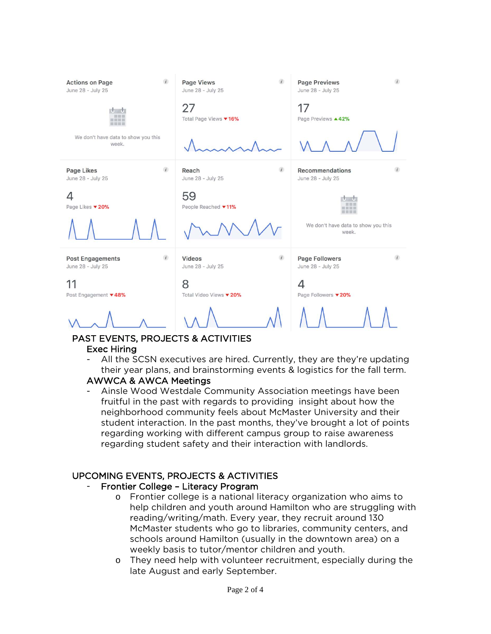

# PAST EVENTS, PROJECTS & ACTIVITIES

# Exec Hiring

All the SCSN executives are hired. Currently, they are they're updating their year plans, and brainstorming events & logistics for the fall term.

# AWWCA & AWCA Meetings

Ainsle Wood Westdale Community Association meetings have been fruitful in the past with regards to providing insight about how the neighborhood community feels about McMaster University and their student interaction. In the past months, they've brought a lot of points regarding working with different campus group to raise awareness regarding student safety and their interaction with landlords.

# UPCOMING EVENTS, PROJECTS & ACTIVITIES

# Frontier College - Literacy Program

- o Frontier college is a national literacy organization who aims to help children and youth around Hamilton who are struggling with reading/writing/math. Every year, they recruit around 130 McMaster students who go to libraries, community centers, and schools around Hamilton (usually in the downtown area) on a weekly basis to tutor/mentor children and youth.
- o They need help with volunteer recruitment, especially during the late August and early September.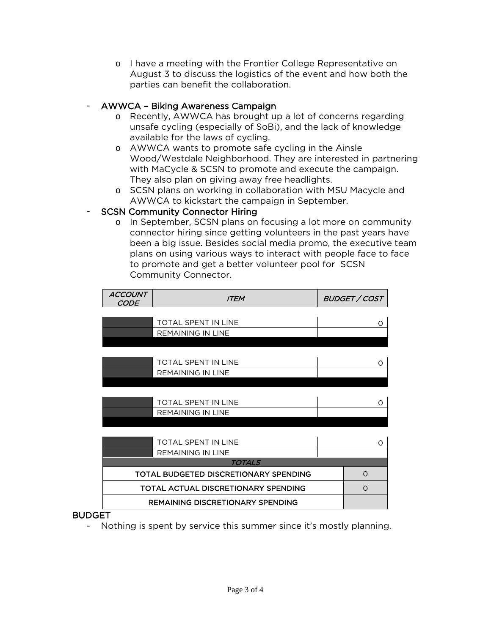o I have a meeting with the Frontier College Representative on August 3 to discuss the logistics of the event and how both the parties can benefit the collaboration.

# - AWWCA – Biking Awareness Campaign

- o Recently, AWWCA has brought up a lot of concerns regarding unsafe cycling (especially of SoBi), and the lack of knowledge available for the laws of cycling.
- o AWWCA wants to promote safe cycling in the Ainsle Wood/Westdale Neighborhood. They are interested in partnering with MaCycle & SCSN to promote and execute the campaign. They also plan on giving away free headlights.
- o SCSN plans on working in collaboration with MSU Macycle and AWWCA to kickstart the campaign in September.

# **SCSN Community Connector Hiring**

o In September, SCSN plans on focusing a lot more on community connector hiring since getting volunteers in the past years have been a big issue. Besides social media promo, the executive team plans on using various ways to interact with people face to face to promote and get a better volunteer pool for SCSN Community Connector.

| <b>ACCOUNT</b><br><b>CODE</b> | <i><b>ITEM</b></i>                      |  | <b>BUDGET / COST</b> |
|-------------------------------|-----------------------------------------|--|----------------------|
|                               |                                         |  |                      |
|                               | <b>TOTAL SPENT IN LINE</b>              |  | Ω                    |
|                               | <b>REMAINING IN LINE</b>                |  |                      |
|                               |                                         |  |                      |
|                               |                                         |  |                      |
|                               | <b>TOTAL SPENT IN LINE</b>              |  | Ω                    |
|                               | <b>REMAINING IN LINE</b>                |  |                      |
|                               |                                         |  |                      |
|                               |                                         |  |                      |
|                               | TOTAL SPENT IN LINE                     |  | O                    |
|                               | REMAINING IN LINE                       |  |                      |
|                               |                                         |  |                      |
|                               |                                         |  |                      |
|                               | <b>TOTAL SPENT IN LINE</b>              |  | Ω                    |
|                               | <b>REMAINING IN LINE</b>                |  |                      |
|                               | TOTALS                                  |  |                      |
|                               | TOTAL BUDGETED DISCRETIONARY SPENDING   |  | $\Omega$             |
|                               | TOTAL ACTUAL DISCRETIONARY SPENDING     |  | $\Omega$             |
|                               | <b>REMAINING DISCRETIONARY SPENDING</b> |  |                      |

# BUDGET

- Nothing is spent by service this summer since it's mostly planning.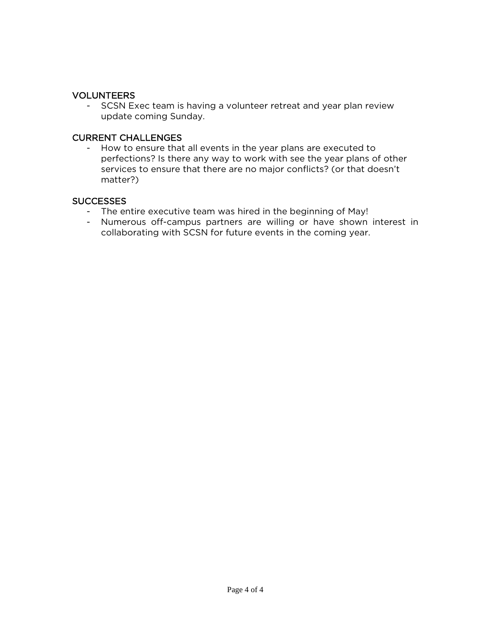# VOLUNTEERS

- SCSN Exec team is having a volunteer retreat and year plan review update coming Sunday.

#### CURRENT CHALLENGES

- How to ensure that all events in the year plans are executed to perfections? Is there any way to work with see the year plans of other services to ensure that there are no major conflicts? (or that doesn't matter?)

# **SUCCESSES**

- The entire executive team was hired in the beginning of May!
- Numerous off-campus partners are willing or have shown interest in collaborating with SCSN for future events in the coming year.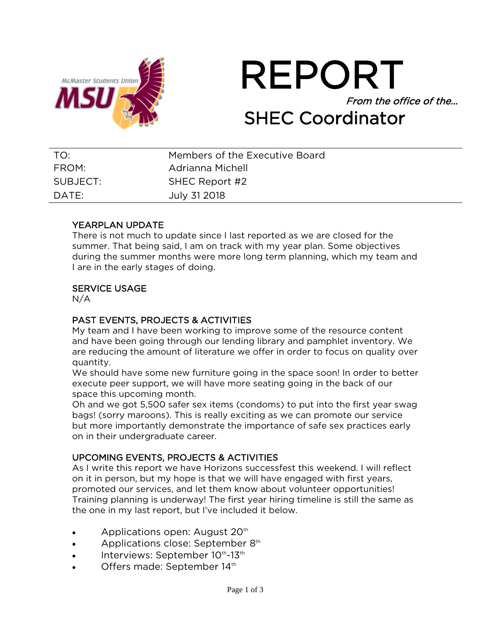



| TO:      | Members of the Executive Board |
|----------|--------------------------------|
| FROM:    | Adrianna Michell               |
| SUBJECT: | SHEC Report #2                 |
| DATE:    | July 31 2018                   |

# YEARPLAN UPDATE

There is not much to update since I last reported as we are closed for the summer. That being said, I am on track with my year plan. Some objectives during the summer months were more long term planning, which my team and I are in the early stages of doing.

# SERVICE USAGE

N/A

# PAST EVENTS, PROJECTS & ACTIVITIES

My team and I have been working to improve some of the resource content and have been going through our lending library and pamphlet inventory. We are reducing the amount of literature we offer in order to focus on quality over quantity.

We should have some new furniture going in the space soon! In order to better execute peer support, we will have more seating going in the back of our space this upcoming month.

Oh and we got 5,500 safer sex items (condoms) to put into the first year swag bags! (sorry maroons). This is really exciting as we can promote our service but more importantly demonstrate the importance of safe sex practices early on in their undergraduate career.

# UPCOMING EVENTS, PROJECTS & ACTIVITIES

As I write this report we have Horizons successfest this weekend. I will reflect on it in person, but my hope is that we will have engaged with first years, promoted our services, and let them know about volunteer opportunities! Training planning is underway! The first year hiring timeline is still the same as the one in my last report, but I've included it below.

- Applications open: August  $20<sup>th</sup>$
- Applications close: September 8<sup>th</sup>
- $\bullet$  Interviews: September 10<sup>th</sup>-13<sup>th</sup>
- Offers made: September 14th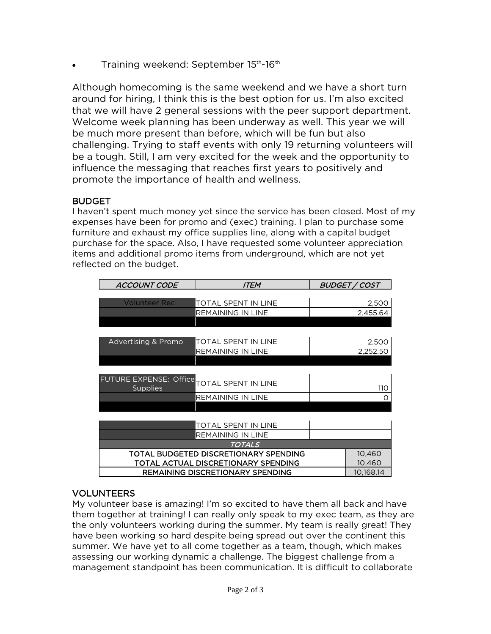Training weekend: September 15<sup>th</sup>-16<sup>th</sup>

Although homecoming is the same weekend and we have a short turn around for hiring, I think this is the best option for us. I'm also excited that we will have 2 general sessions with the peer support department. Welcome week planning has been underway as well. This year we will be much more present than before, which will be fun but also challenging. Trying to staff events with only 19 returning volunteers will be a tough. Still, I am very excited for the week and the opportunity to influence the messaging that reaches first years to positively and promote the importance of health and wellness.

# **BUDGET**

I haven't spent much money yet since the service has been closed. Most of my expenses have been for promo and (exec) training. I plan to purchase some furniture and exhaust my office supplies line, along with a capital budget purchase for the space. Also, I have requested some volunteer appreciation items and additional promo items from underground, which are not yet reflected on the budget.

| ACCOUNT CODE                               | <i>ITEM</i>                             | BUDGET / COST |
|--------------------------------------------|-----------------------------------------|---------------|
|                                            |                                         |               |
| <b>Volunteer Rec</b>                       | TOTAL SPENT IN LINE                     | 2,500         |
|                                            | REMAINING IN LINE                       | 2,455.64      |
|                                            |                                         |               |
|                                            |                                         |               |
| <b>Advertising &amp; Promo</b>             | ITOTAL SPENT IN LINE                    | 2,500         |
|                                            | REMAINING IN LINE                       | 2,252.50      |
|                                            |                                         |               |
|                                            |                                         |               |
| FUTURE EXPENSE: Office TOTAL SPENT IN LINE |                                         |               |
| <b>Supplies</b>                            |                                         | 110           |
|                                            | REMAINING IN LINE                       |               |
|                                            |                                         |               |
|                                            |                                         |               |
|                                            | <b>TOTAL SPENT IN LINE</b>              |               |
|                                            | REMAINING IN LINE                       |               |
|                                            | TOTALS                                  |               |
|                                            | TOTAL BUDGETED DISCRETIONARY SPENDING   | 10,460        |
| TOTAL ACTUAL DISCRETIONARY SPENDING        |                                         | 10,460        |
|                                            | <b>REMAINING DISCRETIONARY SPENDING</b> | 10,168.14     |

# VOLUNTEERS

My volunteer base is amazing! I'm so excited to have them all back and have them together at training! I can really only speak to my exec team, as they are the only volunteers working during the summer. My team is really great! They have been working so hard despite being spread out over the continent this summer. We have yet to all come together as a team, though, which makes assessing our working dynamic a challenge. The biggest challenge from a management standpoint has been communication. It is difficult to collaborate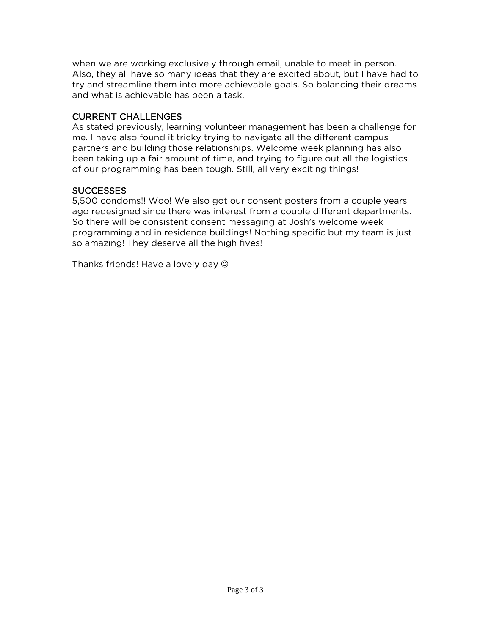when we are working exclusively through email, unable to meet in person. Also, they all have so many ideas that they are excited about, but I have had to try and streamline them into more achievable goals. So balancing their dreams and what is achievable has been a task.

# CURRENT CHALLENGES

As stated previously, learning volunteer management has been a challenge for me. I have also found it tricky trying to navigate all the different campus partners and building those relationships. Welcome week planning has also been taking up a fair amount of time, and trying to figure out all the logistics of our programming has been tough. Still, all very exciting things!

# **SUCCESSES**

5,500 condoms!! Woo! We also got our consent posters from a couple years ago redesigned since there was interest from a couple different departments. So there will be consistent consent messaging at Josh's welcome week programming and in residence buildings! Nothing specific but my team is just so amazing! They deserve all the high fives!

Thanks friends! Have a lovely day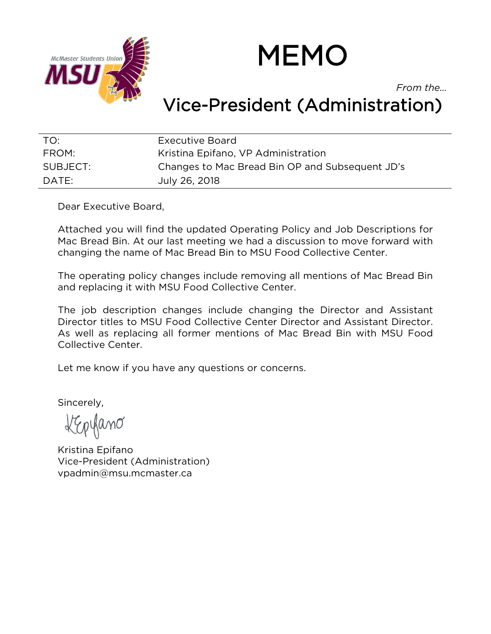

# MEMO

*From the…*

# Vice-President (Administration)

| TO:      | Executive Board                                 |
|----------|-------------------------------------------------|
| FROM:    | Kristina Epifano, VP Administration             |
| SUBJECT: | Changes to Mac Bread Bin OP and Subsequent JD's |
| DATE:    | July 26, 2018                                   |

Dear Executive Board,

Attached you will find the updated Operating Policy and Job Descriptions for Mac Bread Bin. At our last meeting we had a discussion to move forward with changing the name of Mac Bread Bin to MSU Food Collective Center.

The operating policy changes include removing all mentions of Mac Bread Bin and replacing it with MSU Food Collective Center.

The job description changes include changing the Director and Assistant Director titles to MSU Food Collective Center Director and Assistant Director. As well as replacing all former mentions of Mac Bread Bin with MSU Food Collective Center.

Let me know if you have any questions or concerns.

Sincerely,

ûmð

Kristina Epifano Vice-President (Administration) vpadmin@msu.mcmaster.ca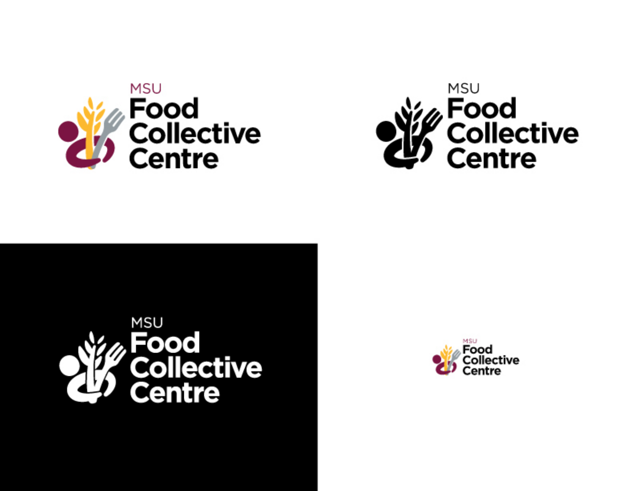





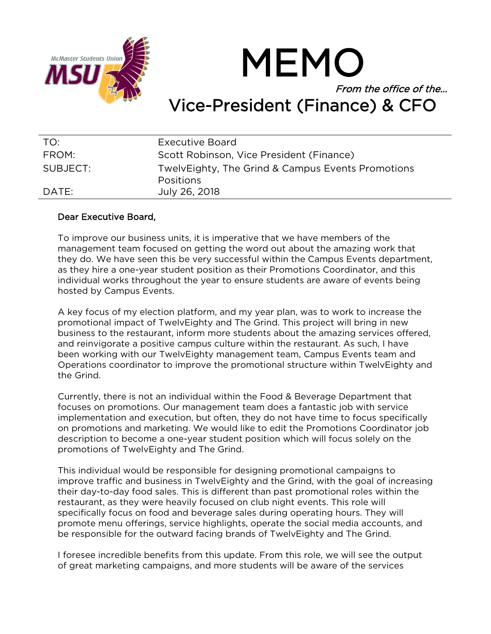

MEMO From the office of the… Vice-President (Finance) & CFO

| TO:      | Executive Board                                                       |
|----------|-----------------------------------------------------------------------|
| FROM:    | Scott Robinson, Vice President (Finance)                              |
| SUBJECT: | TwelvEighty, The Grind & Campus Events Promotions<br><b>Positions</b> |
| DATE:    | July 26, 2018                                                         |

# Dear Executive Board,

To improve our business units, it is imperative that we have members of the management team focused on getting the word out about the amazing work that they do. We have seen this be very successful within the Campus Events department, as they hire a one-year student position as their Promotions Coordinator, and this individual works throughout the year to ensure students are aware of events being hosted by Campus Events.

A key focus of my election platform, and my year plan, was to work to increase the promotional impact of TwelvEighty and The Grind. This project will bring in new business to the restaurant, inform more students about the amazing services offered, and reinvigorate a positive campus culture within the restaurant. As such, I have been working with our TwelvEighty management team, Campus Events team and Operations coordinator to improve the promotional structure within TwelvEighty and the Grind.

Currently, there is not an individual within the Food & Beverage Department that focuses on promotions. Our management team does a fantastic job with service implementation and execution, but often, they do not have time to focus specifically on promotions and marketing. We would like to edit the Promotions Coordinator job description to become a one-year student position which will focus solely on the promotions of TwelvEighty and The Grind.

This individual would be responsible for designing promotional campaigns to improve traffic and business in TwelvEighty and the Grind, with the goal of increasing their day-to-day food sales. This is different than past promotional roles within the restaurant, as they were heavily focused on club night events. This role will specifically focus on food and beverage sales during operating hours. They will promote menu offerings, service highlights, operate the social media accounts, and be responsible for the outward facing brands of TwelvEighty and The Grind.

I foresee incredible benefits from this update. From this role, we will see the output of great marketing campaigns, and more students will be aware of the services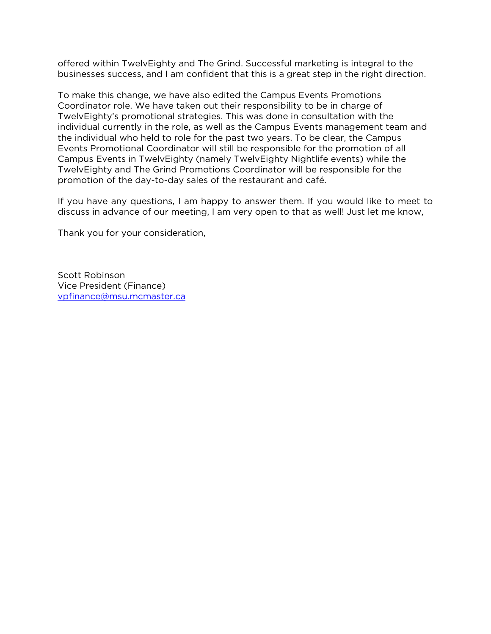offered within TwelvEighty and The Grind. Successful marketing is integral to the businesses success, and I am confident that this is a great step in the right direction.

To make this change, we have also edited the Campus Events Promotions Coordinator role. We have taken out their responsibility to be in charge of TwelvEighty's promotional strategies. This was done in consultation with the individual currently in the role, as well as the Campus Events management team and the individual who held to role for the past two years. To be clear, the Campus Events Promotional Coordinator will still be responsible for the promotion of all Campus Events in TwelvEighty (namely TwelvEighty Nightlife events) while the TwelvEighty and The Grind Promotions Coordinator will be responsible for the promotion of the day-to-day sales of the restaurant and café.

If you have any questions, I am happy to answer them. If you would like to meet to discuss in advance of our meeting, I am very open to that as well! Just let me know,

Thank you for your consideration,

Scott Robinson Vice President (Finance) [vpfinance@msu.mcmaster.ca](mailto:vpfinance@msu.mcmaster.ca)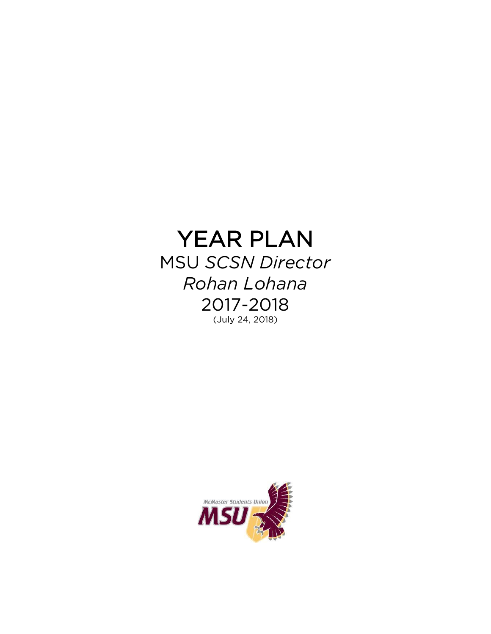# YEAR PLAN MSU *SCSN Director*

*Rohan Lohana* 2017-2018 (July 24, 2018)

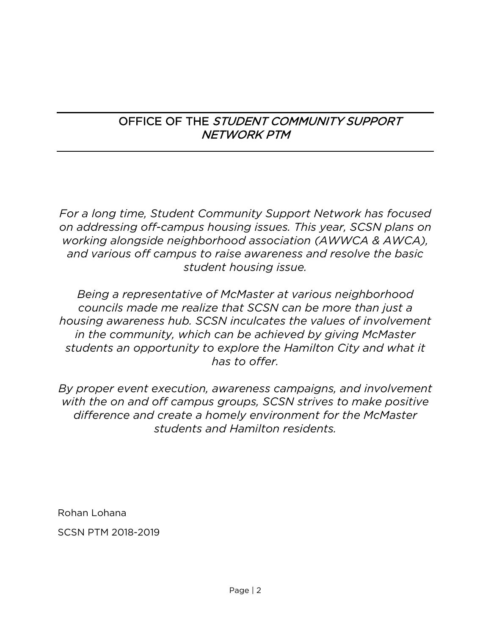# OFFICE OF THE STUDENT COMMUNITY SUPPORT NETWORK PTM

*For a long time, Student Community Support Network has focused on addressing off-campus housing issues. This year, SCSN plans on working alongside neighborhood association (AWWCA & AWCA), and various off campus to raise awareness and resolve the basic student housing issue.* 

*Being a representative of McMaster at various neighborhood councils made me realize that SCSN can be more than just a housing awareness hub. SCSN inculcates the values of involvement in the community, which can be achieved by giving McMaster students an opportunity to explore the Hamilton City and what it has to offer.* 

*By proper event execution, awareness campaigns, and involvement with the on and off campus groups, SCSN strives to make positive difference and create a homely environment for the McMaster students and Hamilton residents.* 

Rohan Lohana SCSN PTM 2018-2019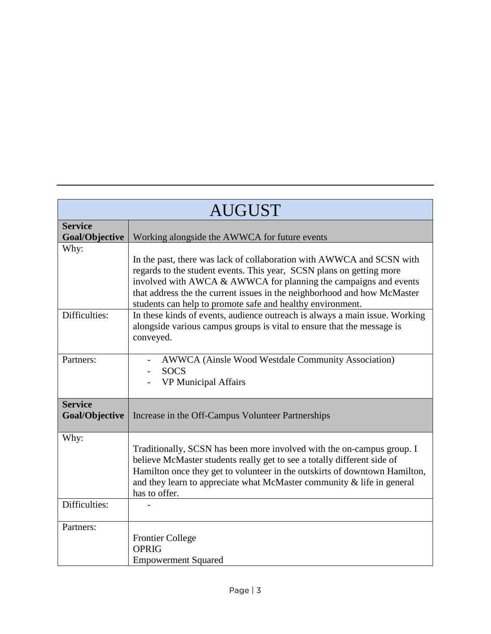| <b>AUGUST</b>                           |                                                                                                                                                                                                                                                                                                                                                             |
|-----------------------------------------|-------------------------------------------------------------------------------------------------------------------------------------------------------------------------------------------------------------------------------------------------------------------------------------------------------------------------------------------------------------|
| <b>Service</b><br>Goal/Objective        | Working alongside the AWWCA for future events                                                                                                                                                                                                                                                                                                               |
| Why:                                    | In the past, there was lack of collaboration with AWWCA and SCSN with<br>regards to the student events. This year, SCSN plans on getting more<br>involved with AWCA & AWWCA for planning the campaigns and events<br>that address the the current issues in the neighborhood and how McMaster<br>students can help to promote safe and healthy environment. |
| Difficulties:                           | In these kinds of events, audience outreach is always a main issue. Working<br>alongside various campus groups is vital to ensure that the message is<br>conveyed.                                                                                                                                                                                          |
| Partners:                               | AWWCA (Ainsle Wood Westdale Community Association)<br><b>SOCS</b><br><b>VP Municipal Affairs</b>                                                                                                                                                                                                                                                            |
| <b>Service</b><br><b>Goal/Objective</b> | Increase in the Off-Campus Volunteer Partnerships                                                                                                                                                                                                                                                                                                           |
| Why:                                    | Traditionally, SCSN has been more involved with the on-campus group. I<br>believe McMaster students really get to see a totally different side of<br>Hamilton once they get to volunteer in the outskirts of downtown Hamilton,<br>and they learn to appreciate what McMaster community $\&$ life in general<br>has to offer.                               |
| Difficulties:                           |                                                                                                                                                                                                                                                                                                                                                             |
| Partners:                               | <b>Frontier College</b><br><b>OPRIG</b><br><b>Empowerment Squared</b>                                                                                                                                                                                                                                                                                       |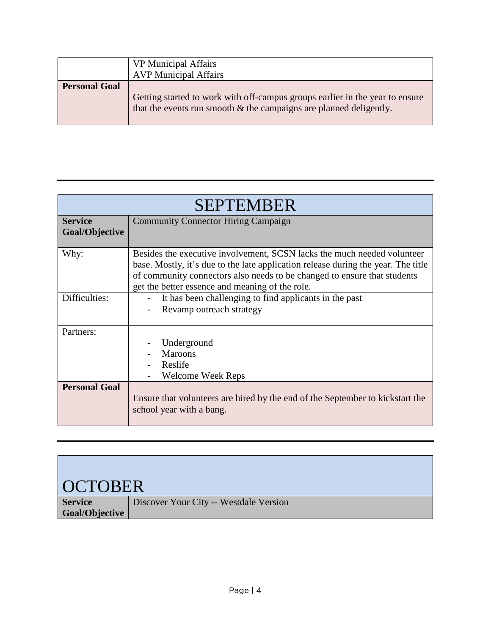|                      | <b>VP</b> Municipal Affairs<br><b>AVP Municipal Affairs</b>                                                                                           |
|----------------------|-------------------------------------------------------------------------------------------------------------------------------------------------------|
| <b>Personal Goal</b> | Getting started to work with off-campus groups earlier in the year to ensure<br>that the events run smooth $\&$ the campaigns are planned deligently. |

|                      | <b>SEPTEMBER</b>                                                                                          |  |
|----------------------|-----------------------------------------------------------------------------------------------------------|--|
| <b>Service</b>       | <b>Community Connector Hiring Campaign</b>                                                                |  |
| Goal/Objective       |                                                                                                           |  |
| Why:                 | Besides the executive involvement, SCSN lacks the much needed volunteer                                   |  |
|                      | base. Mostly, it's due to the late application release during the year. The title                         |  |
|                      | of community connectors also needs to be changed to ensure that students                                  |  |
|                      | get the better essence and meaning of the role.                                                           |  |
| Difficulties:        | It has been challenging to find applicants in the past                                                    |  |
|                      | Revamp outreach strategy                                                                                  |  |
| Partners:            |                                                                                                           |  |
|                      | Underground                                                                                               |  |
|                      | <b>Maroons</b>                                                                                            |  |
|                      | Reslife                                                                                                   |  |
|                      | <b>Welcome Week Reps</b>                                                                                  |  |
| <b>Personal Goal</b> | Ensure that volunteers are hired by the end of the September to kickstart the<br>school year with a bang. |  |
|                      |                                                                                                           |  |

| <b>OCTOBER</b>        |                                        |
|-----------------------|----------------------------------------|
| <b>Service</b>        | Discover Your City -- Westdale Version |
| <b>Goal/Objective</b> |                                        |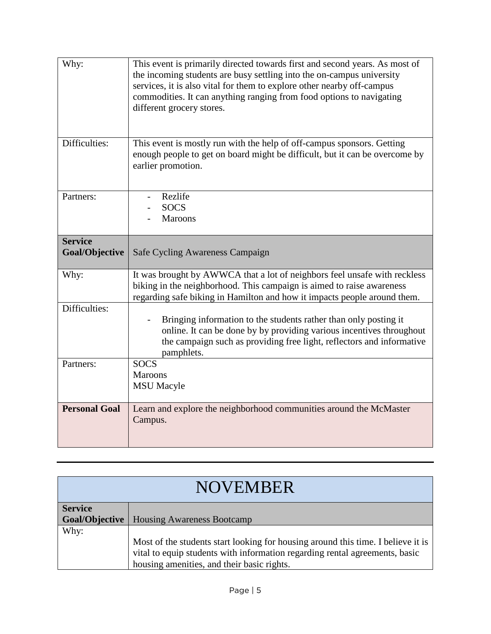| Why:                             | This event is primarily directed towards first and second years. As most of<br>the incoming students are busy settling into the on-campus university<br>services, it is also vital for them to explore other nearby off-campus<br>commodities. It can anything ranging from food options to navigating<br>different grocery stores. |
|----------------------------------|-------------------------------------------------------------------------------------------------------------------------------------------------------------------------------------------------------------------------------------------------------------------------------------------------------------------------------------|
| Difficulties:                    | This event is mostly run with the help of off-campus sponsors. Getting<br>enough people to get on board might be difficult, but it can be overcome by<br>earlier promotion.                                                                                                                                                         |
| Partners:                        | Rezlife<br><b>SOCS</b><br>Maroons                                                                                                                                                                                                                                                                                                   |
| <b>Service</b><br>Goal/Objective | Safe Cycling Awareness Campaign                                                                                                                                                                                                                                                                                                     |
| Why:                             | It was brought by AWWCA that a lot of neighbors feel unsafe with reckless<br>biking in the neighborhood. This campaign is aimed to raise awareness<br>regarding safe biking in Hamilton and how it impacts people around them.                                                                                                      |
| Difficulties:                    | Bringing information to the students rather than only posting it<br>online. It can be done by by providing various incentives throughout<br>the campaign such as providing free light, reflectors and informative<br>pamphlets.                                                                                                     |
| Partners:                        | <b>SOCS</b><br><b>Maroons</b><br><b>MSU</b> Macyle                                                                                                                                                                                                                                                                                  |
| <b>Personal Goal</b>             | Learn and explore the neighborhood communities around the McMaster<br>Campus.                                                                                                                                                                                                                                                       |

| <b>NOVEMBER</b> |                                                                                                                                                                                                               |
|-----------------|---------------------------------------------------------------------------------------------------------------------------------------------------------------------------------------------------------------|
|                 |                                                                                                                                                                                                               |
| <b>Service</b>  |                                                                                                                                                                                                               |
| Goal/Objective  | <b>Housing Awareness Bootcamp</b>                                                                                                                                                                             |
| Why:            |                                                                                                                                                                                                               |
|                 | Most of the students start looking for housing around this time. I believe it is<br>vital to equip students with information regarding rental agreements, basic<br>housing amenities, and their basic rights. |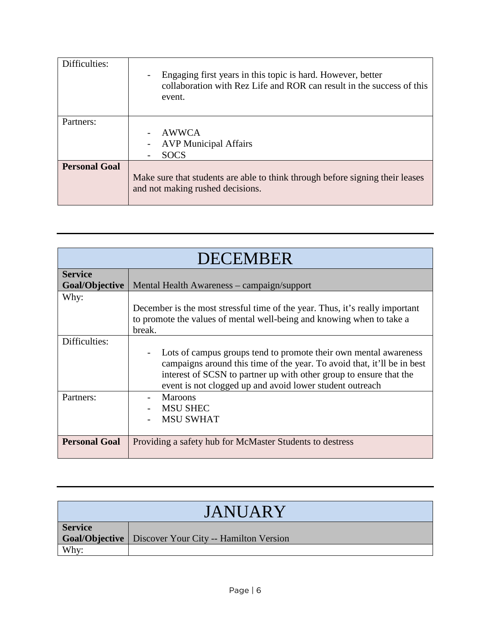| Difficulties:        | Engaging first years in this topic is hard. However, better<br>collaboration with Rez Life and ROR can result in the success of this<br>event. |
|----------------------|------------------------------------------------------------------------------------------------------------------------------------------------|
| Partners:            | AWWCA<br><b>AVP</b> Municipal Affairs<br><b>SOCS</b>                                                                                           |
| <b>Personal Goal</b> | Make sure that students are able to think through before signing their leases<br>and not making rushed decisions.                              |

| <b>DECEMBER</b>      |                                                                                                                                                                                                                                                                               |
|----------------------|-------------------------------------------------------------------------------------------------------------------------------------------------------------------------------------------------------------------------------------------------------------------------------|
| <b>Service</b>       |                                                                                                                                                                                                                                                                               |
| Goal/Objective       | Mental Health Awareness – campaign/support                                                                                                                                                                                                                                    |
| Why:                 | December is the most stressful time of the year. Thus, it's really important                                                                                                                                                                                                  |
|                      | to promote the values of mental well-being and knowing when to take a<br>break.                                                                                                                                                                                               |
| Difficulties:        | Lots of campus groups tend to promote their own mental awareness<br>campaigns around this time of the year. To avoid that, it'll be in best<br>interest of SCSN to partner up with other group to ensure that the<br>event is not clogged up and avoid lower student outreach |
| Partners:            | Maroons<br><b>MSU SHEC</b><br><b>MSU SWHAT</b>                                                                                                                                                                                                                                |
| <b>Personal Goal</b> | Providing a safety hub for McMaster Students to destress                                                                                                                                                                                                                      |

| <b>JANUARY</b> |                                                         |
|----------------|---------------------------------------------------------|
|                |                                                         |
| <b>Service</b> |                                                         |
|                | Goal/Objective   Discover Your City -- Hamilton Version |
| Why:           |                                                         |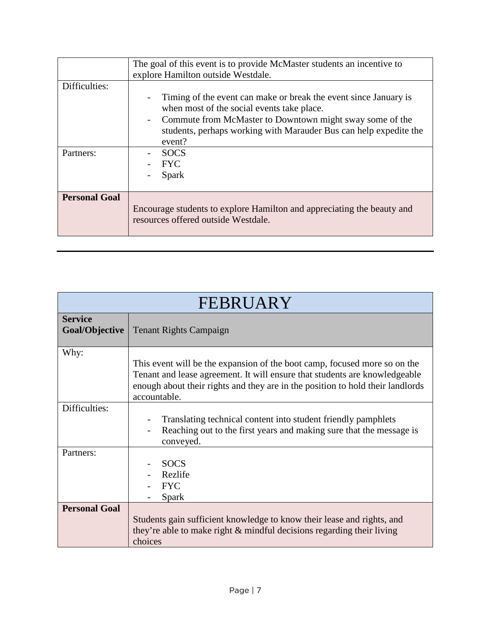|                            | The goal of this event is to provide McMaster students an incentive to<br>explore Hamilton outside Westdale.                                                                                                                                                                           |
|----------------------------|----------------------------------------------------------------------------------------------------------------------------------------------------------------------------------------------------------------------------------------------------------------------------------------|
| Difficulties:<br>Partners: | Timing of the event can make or break the event since January is<br>when most of the social events take place.<br>Commute from McMaster to Downtown might sway some of the<br>students, perhaps working with Marauder Bus can help expedite the<br>event?<br><b>SOCS</b><br><b>FYC</b> |
|                            | Spark                                                                                                                                                                                                                                                                                  |
| <b>Personal Goal</b>       | Encourage students to explore Hamilton and appreciating the beauty and<br>resources offered outside Westdale.                                                                                                                                                                          |

| FEBRUARY                         |                                                                                                                                                                                                                                                           |
|----------------------------------|-----------------------------------------------------------------------------------------------------------------------------------------------------------------------------------------------------------------------------------------------------------|
| <b>Service</b><br>Goal/Objective | <b>Tenant Rights Campaign</b>                                                                                                                                                                                                                             |
| Why:                             | This event will be the expansion of the boot camp, focused more so on the<br>Tenant and lease agreement. It will ensure that students are knowledgeable<br>enough about their rights and they are in the position to hold their landlords<br>accountable. |
| Difficulties:                    | Translating technical content into student friendly pamphlets<br>Reaching out to the first years and making sure that the message is<br>conveyed.                                                                                                         |
| Partners:                        | <b>SOCS</b><br>Rezlife<br><b>FYC</b><br>Spark                                                                                                                                                                                                             |
| <b>Personal Goal</b>             | Students gain sufficient knowledge to know their lease and rights, and<br>they're able to make right $\&$ mindful decisions regarding their living<br>choices                                                                                             |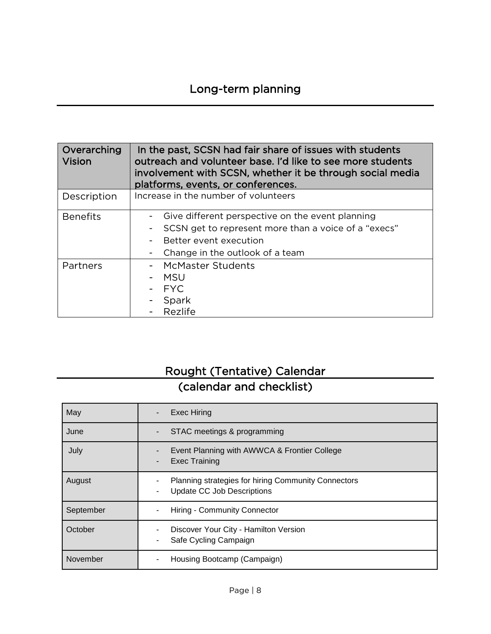| Overarching<br><b>Vision</b> | In the past, SCSN had fair share of issues with students<br>outreach and volunteer base. I'd like to see more students<br>involvement with SCSN, whether it be through social media<br>platforms, events, or conferences. |
|------------------------------|---------------------------------------------------------------------------------------------------------------------------------------------------------------------------------------------------------------------------|
| Description                  | Increase in the number of volunteers                                                                                                                                                                                      |
| <b>Benefits</b>              | Give different perspective on the event planning<br>SCSN get to represent more than a voice of a "execs"<br>Better event execution<br>Change in the outlook of a team<br>-                                                |
| Partners                     | <b>McMaster Students</b><br><b>MSU</b><br><b>FYC</b><br>Spark<br>Rezlife                                                                                                                                                  |

# Rought (Tentative) Calendar (calendar and checklist)

| May       | <b>Exec Hiring</b>                                                                       |
|-----------|------------------------------------------------------------------------------------------|
| June      | STAC meetings & programming                                                              |
| July      | Event Planning with AWWCA & Frontier College<br><b>Exec Training</b>                     |
| August    | Planning strategies for hiring Community Connectors<br><b>Update CC Job Descriptions</b> |
| September | Hiring - Community Connector                                                             |
| October   | Discover Your City - Hamilton Version<br>Safe Cycling Campaign                           |
| November  | Housing Bootcamp (Campaign)                                                              |